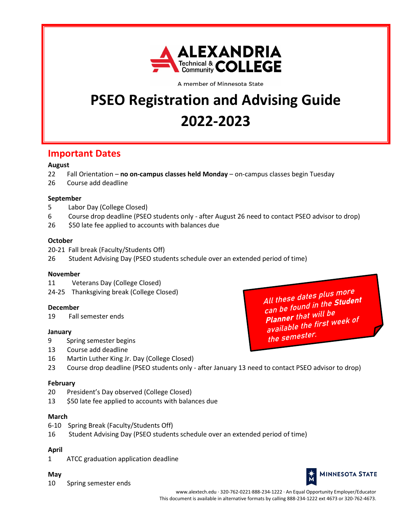

A member of Minnesota State

# **PSEO Registration and Advising Guide 2022-2023**

### **Important Dates**

#### **August**

- 22 Fall Orientation **no on-campus classes held Monday** on-campus classes begin Tuesday
- 26 Course add deadline

#### **September**

- 5 Labor Day (College Closed)
- 6 Course drop deadline (PSEO students only after August 26 need to contact PSEO advisor to drop)
- 26 \$50 late fee applied to accounts with balances due

#### **October**

- 20-21 Fall break (Faculty/Students Off)
- 26 Student Advising Day (PSEO students schedule over an extended period of time)

#### **November**

- 11 Veterans Day (College Closed)
- 24-25 Thanksgiving break (College Closed)

#### **December**

19 Fall semester ends

#### **January**

- 9 Spring semester begins
- 13 Course add deadline
- 16 Martin Luther King Jr. Day (College Closed)
- 23 Course drop deadline (PSEO students only after January 13 need to contact PSEO advisor to drop)

#### **February**

- 20 President's Day observed (College Closed)
- 13 \$50 late fee applied to accounts with balances due

#### **March**

- 6-10 Spring Break (Faculty/Students Off)
- 16 Student Advising Day (PSEO students schedule over an extended period of time)

#### **April**

1 ATCC graduation application deadline

#### **May**

10 Spring semester ends

All these dates plus more All these dates plus in All these dates<br>can be found in the **Student** can be round in<br>**Planner** that will be **Planner** that will be<br>available the first week of the semester.



www.alextech.edu · 320-762-0221·888-234-1222 · An Equal Opportunity Employer/Educator This document is available in alternative formats by calling 888-234-1222 ext 4673 or 320-762-4673.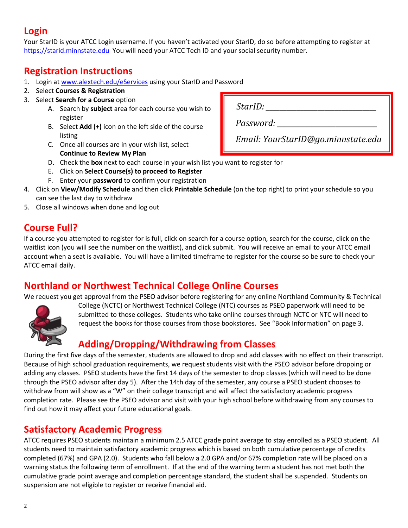# **Login**

Your StarID is your ATCC Login username. If you haven't activated your StarID, do so before attempting to register at [https://starid.minnstate.edu](https://starid.minnstate.edu/) You will need your ATCC Tech ID and your social security number.

# **Registration Instructions**

- 1. Login at [www.alextech.edu/eServices](http://www.alextech.edu/eServices) using your StarID and Password
- 2. Select **Courses & Registration**
- 3. Select **Search for a Course** option
	- A. Search by **subject** area for each course you wish to register
	- B. Select **Add (+)** icon on the left side of the course listing

| <b>Continue to Review My Plan</b>                 |
|---------------------------------------------------|
| C. Once all courses are in your wish list, select |

 $StarID:$ 

*Password: \_\_\_\_\_\_\_\_\_\_\_\_\_\_\_\_\_\_\_\_\_\_\_\_\_\_\_\_\_*

 *Email: YourStarID@go.minnstate.edu*

- D. Check the **box** next to each course in your wish list you want to register for
- E. Click on **Select Course(s) to proceed to Register**
- F. Enter your **password** to confirm your registration
- 4. Click on **View/Modify Schedule** and then click **Printable Schedule** (on the top right) to print your schedule so you can see the last day to withdraw
- 5. Close all windows when done and log out

### **Course Full?**

If a course you attempted to register for is full, click on search for a course option, search for the course, click on the waitlist icon (you will see the number on the waitlist), and click submit. You will receive an email to your ATCC email account when a seat is available. You will have a limited timeframe to register for the course so be sure to check your ATCC email daily.

### **Northland or Northwest Technical College Online Courses**

We request you get approval from the PSEO advisor before registering for any online Northland Community & Technical



College (NCTC) or Northwest Technical College (NTC) courses as PSEO paperwork will need to be submitted to those colleges. Students who take online courses through NCTC or NTC will need to request the books for those courses from those bookstores. See "Book Information" on page 3.

# **Adding/Dropping/Withdrawing from Classes**

During the first five days of the semester, students are allowed to drop and add classes with no effect on their transcript. Because of high school graduation requirements, we request students visit with the PSEO advisor before dropping or adding any classes. PSEO students have the first 14 days of the semester to drop classes (which will need to be done through the PSEO advisor after day 5). After the 14th day of the semester, any course a PSEO student chooses to withdraw from will show as a "W" on their college transcript and will affect the satisfactory academic progress completion rate. Please see the PSEO advisor and visit with your high school before withdrawing from any courses to find out how it may affect your future educational goals.

# **Satisfactory Academic Progress**

ATCC requires PSEO students maintain a minimum 2.5 ATCC grade point average to stay enrolled as a PSEO student. All students need to maintain satisfactory academic progress which is based on both cumulative percentage of credits completed (67%) and GPA (2.0). Students who fall below a 2.0 GPA and/or 67% completion rate will be placed on a warning status the following term of enrollment. If at the end of the warning term a student has not met both the cumulative grade point average and completion percentage standard, the student shall be suspended. Students on suspension are not eligible to register or receive financial aid.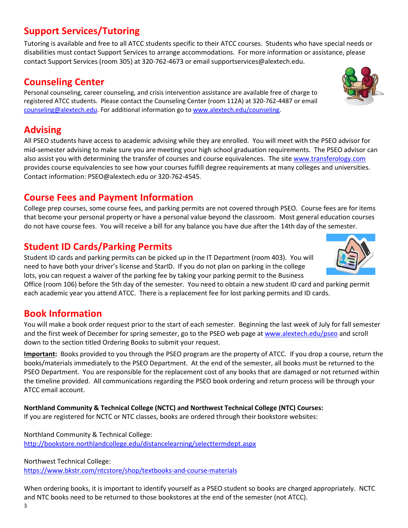# **Support Services/Tutoring**

Tutoring is available and free to all ATCC students specific to their ATCC courses. Students who have special needs or disabilities must contact Support Services to arrange accommodations. For more information or assistance, please contact Support Services (room 305) at 320-762-4673 or email supportservices@alextech.edu.

# **Counseling Center**

Personal counseling, career counseling, and crisis intervention assistance are available free of charge to registered ATCC students. Please contact the Counseling Center (room 112A) at 320-762-4487 or email [counseling@alextech.edu.](mailto:counseling@alextech.edu) For additional information go to [www.alextech.edu/counseling.](http://www.alextech.edu/counseling)

### **Advising**

All PSEO students have access to academic advising while they are enrolled. You will meet with the PSEO advisor for mid-semester advising to make sure you are meeting your high school graduation requirements. The PSEO advisor can also assist you with determining the transfer of courses and course equivalences. The site [www.transferology.com](http://www.transferology.com/)  provides course equivalencies to see how your courses fulfill degree requirements at many colleges and universities. Contact information: PSEO@alextech.edu or 320-762-4545.

# **Course Fees and Payment Information**

College prep courses, some course fees, and parking permits are not covered through PSEO. Course fees are for items that become your personal property or have a personal value beyond the classroom. Most general education courses do not have course fees. You will receive a bill for any balance you have due after the 14th day of the semester.

# **Student ID Cards/Parking Permits**

Student ID cards and parking permits can be picked up in the IT Department (room 403). You will need to have both your driver's license and StarID. If you do not plan on parking in the college lots, you can request a waiver of the parking fee by taking your parking permit to the Business

Office (room 106) before the 5th day of the semester. You need to obtain a new student ID card and parking permit each academic year you attend ATCC. There is a replacement fee for lost parking permits and ID cards.

# **Book Information**

You will make a book order request prior to the start of each semester. Beginning the last week of July for fall semester and the first week of December for spring semester, go to the PSEO web page at [www.alextech.edu/pseo](http://www.alextech.edu/pseo) and scroll down to the section titled Ordering Books to submit your request.

**Important:** Books provided to you through the PSEO program are the property of ATCC. If you drop a course, return the books/materials immediately to the PSEO Department. At the end of the semester, all books must be returned to the PSEO Department. You are responsible for the replacement cost of any books that are damaged or not returned within the timeline provided. All communications regarding the PSEO book ordering and return process will be through your ATCC email account.

**Northland Community & Technical College (NCTC) and Northwest Technical College (NTC) Courses:**  If you are registered for NCTC or NTC classes, books are ordered through their bookstore websites:

Northland Community & Technical College: <http://bookstore.northlandcollege.edu/distancelearning/selecttermdept.aspx>

Northwest Technical College: <https://www.bkstr.com/ntcstore/shop/textbooks-and-course-materials>

When ordering books, it is important to identify yourself as a PSEO student so books are charged appropriately. NCTC and NTC books need to be returned to those bookstores at the end of the semester (not ATCC).